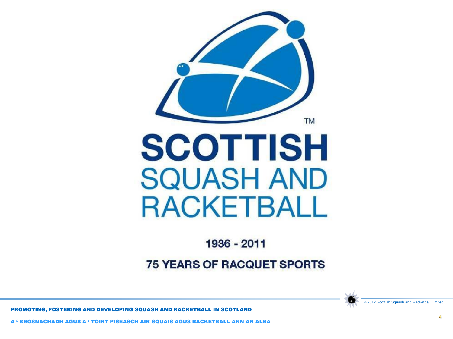

#### 1936 - 2011

#### **75 YEARS OF RACQUET SPORTS**



© 2012 Scottish Squash and Racketball Limite

PROMOTING, FOSTERING AND DEVELOPING SQUASH AND RACKETBALL IN SCOTLAND

A ' BROSNACHADH AGUS A ' TOIRT PISEASCH AIR SQUAIS AGUS RACKETBALL ANN AN ALBA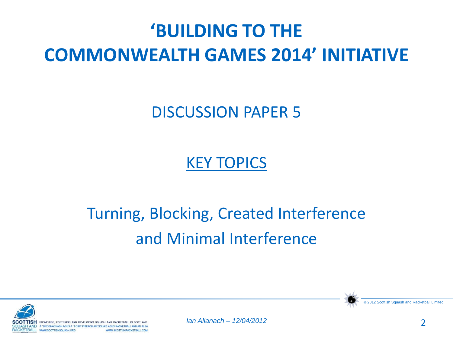# **'BUILDING TO THE COMMONWEALTH GAMES 2014' INITIATIVE**

#### DISCUSSION PAPER 5

KEY TOPICS

# Turning, Blocking, Created Interference and Minimal Interference



*Ian Allanach – 12/04/2012*



© 2012 Scottish Squash and Racketball Lire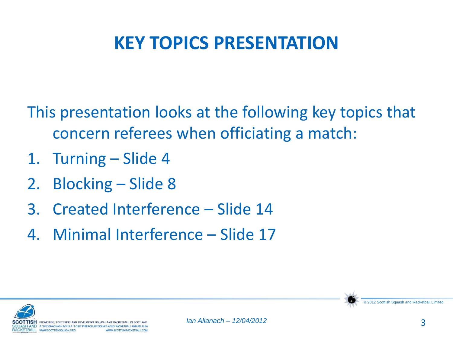## **KEY TOPICS PRESENTATION**

- This presentation looks at the following key topics that concern referees when officiating a match:
- 1. Turning Slide 4
- 2. Blocking Slide 8
- 3. Created Interference Slide 14
- 4. Minimal Interference Slide 17



© 2012 Scottish Squash and Racketball Limite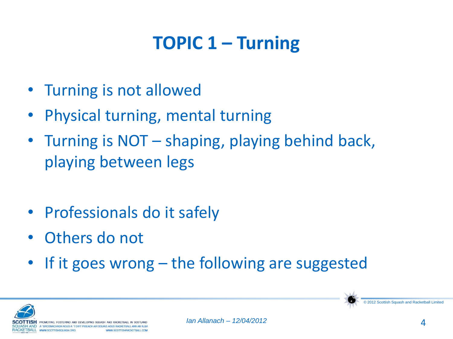# **TOPIC 1 – Turning**

- Turning is not allowed
- Physical turning, mental turning
- Turning is NOT shaping, playing behind back, playing between legs
- Professionals do it safely
- Others do not
- If it goes wrong the following are suggested



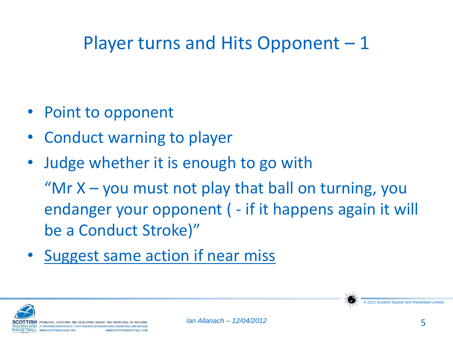## Player turns and Hits Opponent - 1

- Point to opponent
- Conduct warning to player
- Judge whether it is enough to go with

"Mr  $X$  – you must not play that ball on turning, you endanger your opponent ( - if it happens again it will be a Conduct Stroke)"

• Suggest same action if near miss

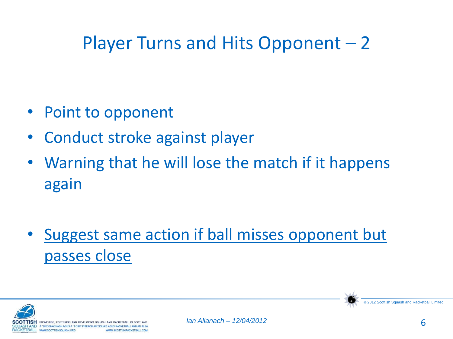## Player Turns and Hits Opponent – 2

- Point to opponent
- Conduct stroke against player
- Warning that he will lose the match if it happens again
- Suggest same action if ball misses opponent but passes close



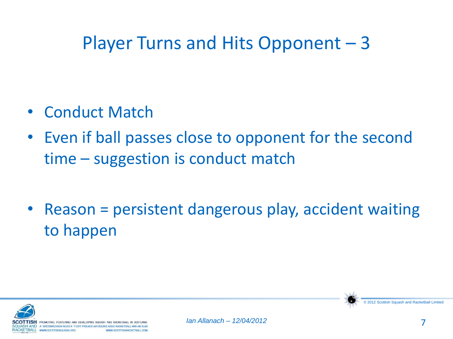## Player Turns and Hits Opponent – 3

- Conduct Match
- Even if ball passes close to opponent for the second time – suggestion is conduct match
- Reason = persistent dangerous play, accident waiting to happen



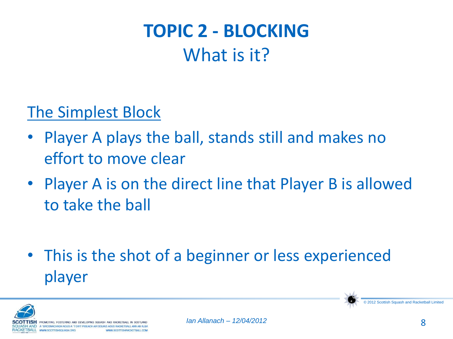# **TOPIC 2 - BLOCKING** What is it?

#### The Simplest Block

- Player A plays the ball, stands still and makes no effort to move clear
- Player A is on the direct line that Player B is allowed to take the ball
- This is the shot of a beginner or less experienced player



© 2012 Scottish Squash and Racketball Lin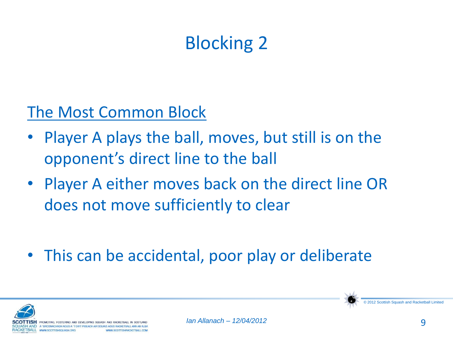# Blocking 2

The Most Common Block

- Player A plays the ball, moves, but still is on the opponent's direct line to the ball
- Player A either moves back on the direct line OR does not move sufficiently to clear
- This can be accidental, poor play or deliberate



© 2012 Scottish Squash and Racketball Limite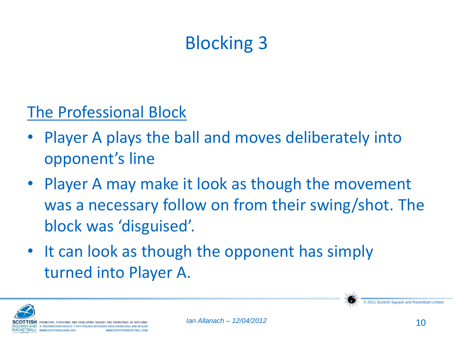# Blocking 3

#### The Professional Block

- Player A plays the ball and moves deliberately into opponent's line
- Player A may make it look as though the movement was a necessary follow on from their swing/shot. The block was 'disguised'.
- It can look as though the opponent has simply turned into Player A.



© 2012 Scottish Squash and Racketball Limited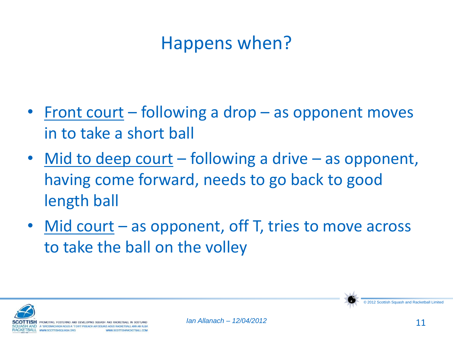# Happens when?

- Front court following a drop as opponent moves in to take a short ball
- Mid to deep court following a drive as opponent, having come forward, needs to go back to good length ball
- Mid court as opponent, off T, tries to move across to take the ball on the volley



© 2012 Scottish Squash and Racketball Limite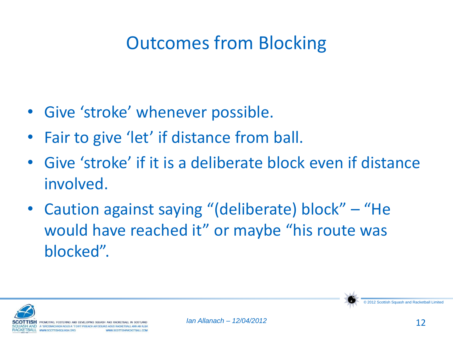# Outcomes from Blocking

- Give 'stroke' whenever possible.
- Fair to give 'let' if distance from ball.
- Give 'stroke' if it is a deliberate block even if distance involved.
- Caution against saying "(deliberate) block" "He would have reached it" or maybe "his route was blocked".



© 2012 Scottish Squash and Racketball Lire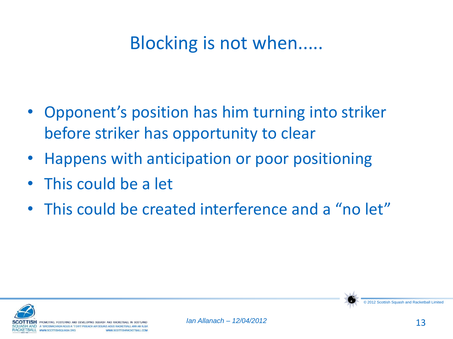## Blocking is not when.....

- Opponent's position has him turning into striker before striker has opportunity to clear
- Happens with anticipation or poor positioning
- This could be a let
- This could be created interference and a "no let"



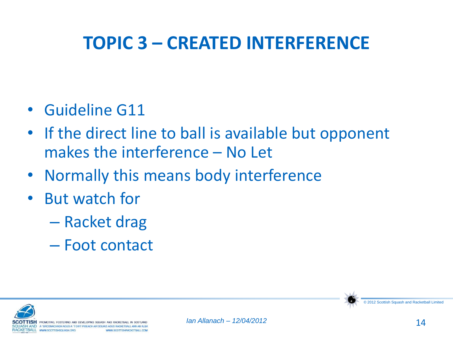## **TOPIC 3 – CREATED INTERFERENCE**

- Guideline G11
- If the direct line to ball is available but opponent makes the interference – No Let
- Normally this means body interference
- But watch for
	- Racket drag
	- Foot contact



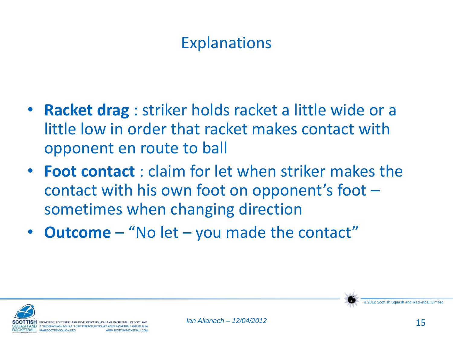#### Explanations

- **Racket drag** : striker holds racket a little wide or a little low in order that racket makes contact with opponent en route to ball
- **Foot contact** : claim for let when striker makes the contact with his own foot on opponent's foot – sometimes when changing direction
- **Outcome** "No let you made the contact"



© 2012 Scottish Squash and Racketball Limited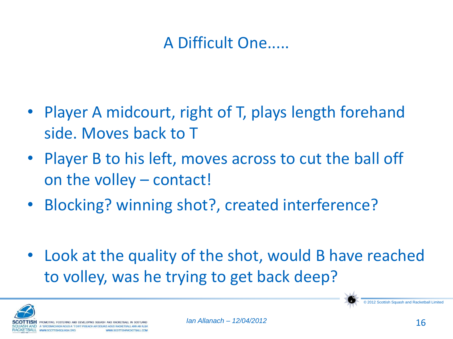#### A Difficult One.....

- Player A midcourt, right of T, plays length forehand side. Moves back to T
- Player B to his left, moves across to cut the ball off on the volley – contact!
- Blocking? winning shot?, created interference?
- Look at the quality of the shot, would B have reached to volley, was he trying to get back deep?



© 2012 Scottish Squash and Racketball Lim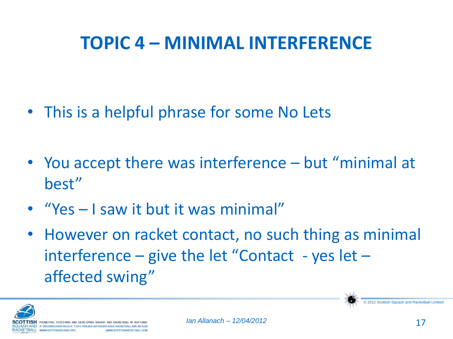### **TOPIC 4 – MINIMAL INTERFERENCE**

- This is a helpful phrase for some No Lets
- You accept there was interference but "minimal at best"
- "Yes I saw it but it was minimal"
- However on racket contact, no such thing as minimal interference – give the let "Contact - yes let – affected swing"



© 2012 Scottish Squash and Racketball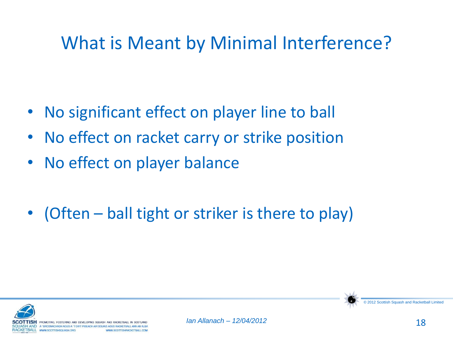## What is Meant by Minimal Interference?

- No significant effect on player line to ball
- No effect on racket carry or strike position
- No effect on player balance
- (Often ball tight or striker is there to play)